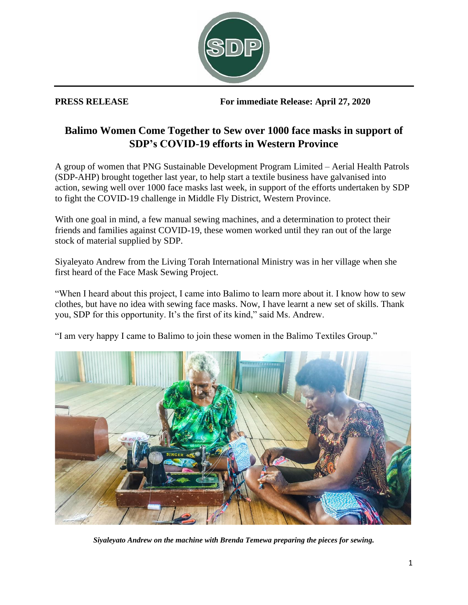

**PRESS RELEASE For immediate Release: April 27, 2020**

## **Balimo Women Come Together to Sew over 1000 face masks in support of SDP's COVID-19 efforts in Western Province**

A group of women that PNG Sustainable Development Program Limited – Aerial Health Patrols (SDP-AHP) brought together last year, to help start a textile business have galvanised into action, sewing well over 1000 face masks last week, in support of the efforts undertaken by SDP to fight the COVID-19 challenge in Middle Fly District, Western Province.

With one goal in mind, a few manual sewing machines, and a determination to protect their friends and families against COVID-19, these women worked until they ran out of the large stock of material supplied by SDP.

Siyaleyato Andrew from the Living Torah International Ministry was in her village when she first heard of the Face Mask Sewing Project.

"When I heard about this project, I came into Balimo to learn more about it. I know how to sew clothes, but have no idea with sewing face masks. Now, I have learnt a new set of skills. Thank you, SDP for this opportunity. It's the first of its kind," said Ms. Andrew.

"I am very happy I came to Balimo to join these women in the Balimo Textiles Group."



*Siyaleyato Andrew on the machine with Brenda Temewa preparing the pieces for sewing.*